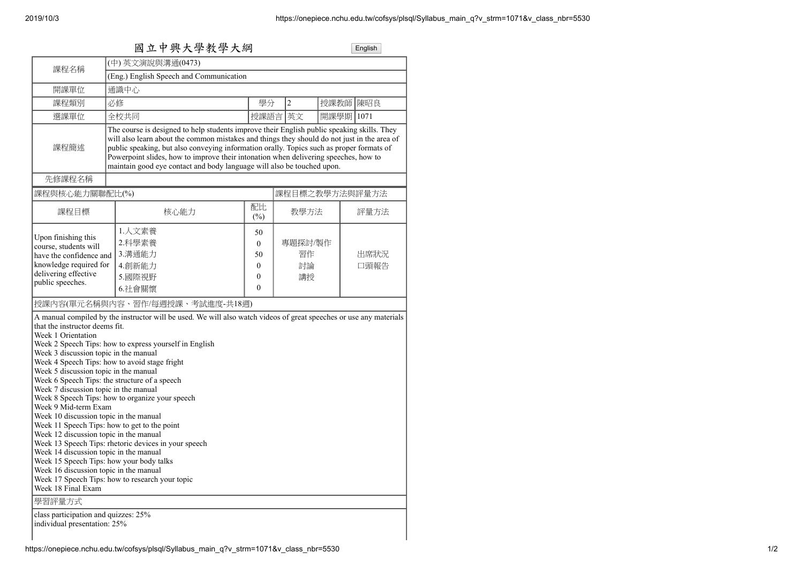|                                                                                                                                                                                                                                                                                             | (中) 英文演說與溝通(0473)                                                                                                                                                                                                                                                                                                                                                                                                                                                                                                               |                                                                   |                           |              |  |
|---------------------------------------------------------------------------------------------------------------------------------------------------------------------------------------------------------------------------------------------------------------------------------------------|---------------------------------------------------------------------------------------------------------------------------------------------------------------------------------------------------------------------------------------------------------------------------------------------------------------------------------------------------------------------------------------------------------------------------------------------------------------------------------------------------------------------------------|-------------------------------------------------------------------|---------------------------|--------------|--|
| 課程名稱                                                                                                                                                                                                                                                                                        | (Eng.) English Speech and Communication                                                                                                                                                                                                                                                                                                                                                                                                                                                                                         |                                                                   |                           |              |  |
| 開課單位                                                                                                                                                                                                                                                                                        | 通識中心                                                                                                                                                                                                                                                                                                                                                                                                                                                                                                                            |                                                                   |                           |              |  |
|                                                                                                                                                                                                                                                                                             |                                                                                                                                                                                                                                                                                                                                                                                                                                                                                                                                 |                                                                   |                           |              |  |
| 課程類別                                                                                                                                                                                                                                                                                        | 必修                                                                                                                                                                                                                                                                                                                                                                                                                                                                                                                              | 學分                                                                | $\overline{2}$            | 授課教師 陳昭良     |  |
| 選課單位                                                                                                                                                                                                                                                                                        | 全校共同                                                                                                                                                                                                                                                                                                                                                                                                                                                                                                                            |                                                                   | 授課語言 英文                   | 開課學期 1071    |  |
| 課程簡述                                                                                                                                                                                                                                                                                        | The course is designed to help students improve their English public speaking skills. They<br>will also learn about the common mistakes and things they should do not just in the area of<br>public speaking, but also conveying information orally. Topics such as proper formats of<br>Powerpoint slides, how to improve their intonation when delivering speeches, how to<br>maintain good eye contact and body language will also be touched upon.                                                                          |                                                                   |                           |              |  |
| 先修課程名稱                                                                                                                                                                                                                                                                                      |                                                                                                                                                                                                                                                                                                                                                                                                                                                                                                                                 |                                                                   |                           |              |  |
| 課程與核心能力關聯配比(%)                                                                                                                                                                                                                                                                              |                                                                                                                                                                                                                                                                                                                                                                                                                                                                                                                                 |                                                                   | 課程目標之教學方法與評量方法            |              |  |
| 課程目標                                                                                                                                                                                                                                                                                        | 核心能力                                                                                                                                                                                                                                                                                                                                                                                                                                                                                                                            | 配比<br>$(\%)$                                                      | 教學方法                      | 評量方法         |  |
| Upon finishing this<br>course, students will<br>have the confidence and<br>knowledge required for<br>delivering effective<br>public speeches.                                                                                                                                               | 1.人文素養<br>2.科學素養<br>3.溝通能力<br>4.創新能力<br>5.國際視野<br>6.社會關懷                                                                                                                                                                                                                                                                                                                                                                                                                                                                        | 50<br>$\mathbf{0}$<br>50<br>$\boldsymbol{0}$<br>0<br>$\mathbf{0}$ | 專題探討/製作<br>習作<br>討論<br>講授 | 出席狀況<br>口頭報告 |  |
| that the instructor deems fit.<br>Week 1 Orientation<br>Week 3 discussion topic in the manual<br>Week 5 discussion topic in the manual<br>Week 7 discussion topic in the manual<br>Week 9 Mid-term Exam<br>Week 10 discussion topic in the manual<br>Week 12 discussion topic in the manual | A manual compiled by the instructor will be used. We will also watch videos of great speeches or use any materials<br>Week 2 Speech Tips: how to express yourself in English<br>Week 4 Speech Tips: how to avoid stage fright<br>Week 6 Speech Tips: the structure of a speech<br>Week 8 Speech Tips: how to organize your speech<br>Week 11 Speech Tips: how to get to the point<br>Week 13 Speech Tips: rhetoric devices in your speech<br>Week 14 discussion topic in the manual<br>Week 15 Speech Tips: how your body talks |                                                                   |                           |              |  |
| Week 16 discussion topic in the manual                                                                                                                                                                                                                                                      |                                                                                                                                                                                                                                                                                                                                                                                                                                                                                                                                 |                                                                   |                           |              |  |
| Week 18 Final Exam                                                                                                                                                                                                                                                                          | Week 17 Speech Tips: how to research your topic                                                                                                                                                                                                                                                                                                                                                                                                                                                                                 |                                                                   |                           |              |  |